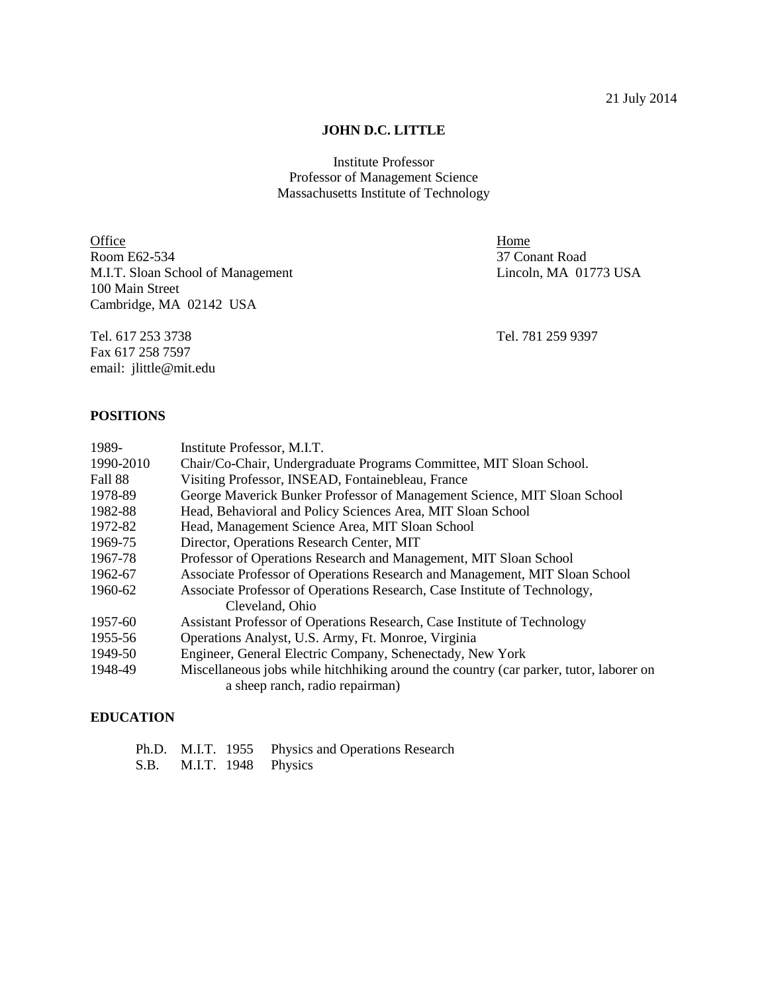#### **JOHN D.C. LITTLE**

Institute Professor Professor of Management Science Massachusetts Institute of Technology

Office Home Room E62-534 37 Conant Road M.I.T. Sloan School of Management Lincoln, MA 01773 USA 100 Main Street Cambridge, MA 02142 USA

Tel. 617 253 3738 Tel. 781 259 9397 Fax 617 258 7597 email: jlittle@mit.edu

### **POSITIONS**

| 1989-     | Institute Professor, M.I.T.                                                            |
|-----------|----------------------------------------------------------------------------------------|
| 1990-2010 | Chair/Co-Chair, Undergraduate Programs Committee, MIT Sloan School.                    |
| Fall 88   | Visiting Professor, INSEAD, Fontainebleau, France                                      |
| 1978-89   | George Maverick Bunker Professor of Management Science, MIT Sloan School               |
| 1982-88   | Head, Behavioral and Policy Sciences Area, MIT Sloan School                            |
| 1972-82   | Head, Management Science Area, MIT Sloan School                                        |
| 1969-75   | Director, Operations Research Center, MIT                                              |
| 1967-78   | Professor of Operations Research and Management, MIT Sloan School                      |
| 1962-67   | Associate Professor of Operations Research and Management, MIT Sloan School            |
| 1960-62   | Associate Professor of Operations Research, Case Institute of Technology,              |
|           | Cleveland, Ohio                                                                        |
| 1957-60   | Assistant Professor of Operations Research, Case Institute of Technology               |
| 1955-56   | Operations Analyst, U.S. Army, Ft. Monroe, Virginia                                    |
| 1949-50   | Engineer, General Electric Company, Schenectady, New York                              |
| 1948-49   | Miscellaneous jobs while hitchhiking around the country (car parker, tutor, laborer on |
|           | a sheep ranch, radio repairman)                                                        |

## **EDUCATION**

|  | Ph.D. M.I.T. 1955 Physics and Operations Research |
|--|---------------------------------------------------|
|  | S.B. M.I.T. 1948 Physics                          |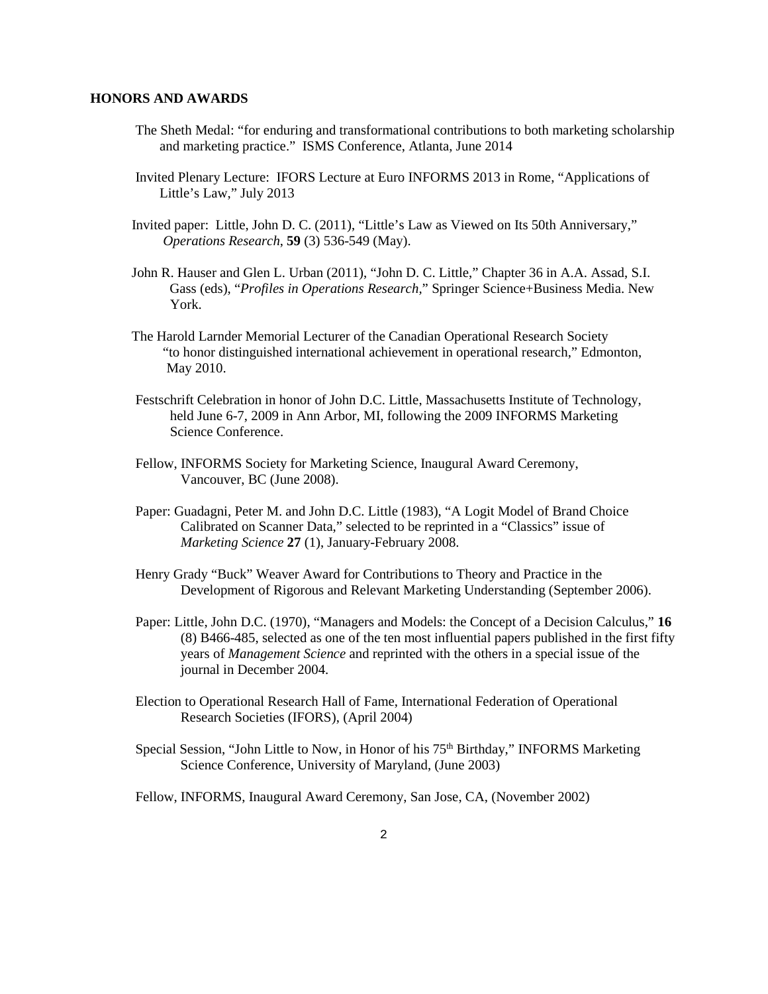#### **HONORS AND AWARDS**

- The Sheth Medal: "for enduring and transformational contributions to both marketing scholarship and marketing practice." ISMS Conference, Atlanta, June 2014
- Invited Plenary Lecture: IFORS Lecture at Euro INFORMS 2013 in Rome, "Applications of Little's Law," July 2013
- Invited paper: Little, John D. C. (2011), "Little's Law as Viewed on Its 50th Anniversary," *Operations Research*, **59** (3) 536-549 (May).
- John R. Hauser and Glen L. Urban (2011), "John D. C. Little," Chapter 36 in A.A. Assad, S.I. Gass (eds), "*Profiles in Operations Research,*" Springer Science+Business Media. New York.
- The Harold Larnder Memorial Lecturer of the Canadian Operational Research Society "to honor distinguished international achievement in operational research," Edmonton, May 2010.
- Festschrift Celebration in honor of John D.C. Little, Massachusetts Institute of Technology, held June 6-7, 2009 in Ann Arbor, MI, following the 2009 INFORMS Marketing Science Conference.
- Fellow, INFORMS Society for Marketing Science, Inaugural Award Ceremony, Vancouver, BC (June 2008).
- Paper: Guadagni, Peter M. and John D.C. Little (1983), "A Logit Model of Brand Choice Calibrated on Scanner Data," selected to be reprinted in a "Classics" issue of *Marketing Science* **27** (1), January-February 2008.
- Henry Grady "Buck" Weaver Award for Contributions to Theory and Practice in the Development of Rigorous and Relevant Marketing Understanding (September 2006).
- Paper: Little, John D.C. (1970), "Managers and Models: the Concept of a Decision Calculus," **16** (8) B466-485, selected as one of the ten most influential papers published in the first fifty years of *Management Science* and reprinted with the others in a special issue of the journal in December 2004.
- Election to Operational Research Hall of Fame, International Federation of Operational Research Societies (IFORS), (April 2004)
- Special Session, "John Little to Now, in Honor of his 75<sup>th</sup> Birthday," INFORMS Marketing Science Conference, University of Maryland, (June 2003)

Fellow, INFORMS, Inaugural Award Ceremony, San Jose, CA, (November 2002)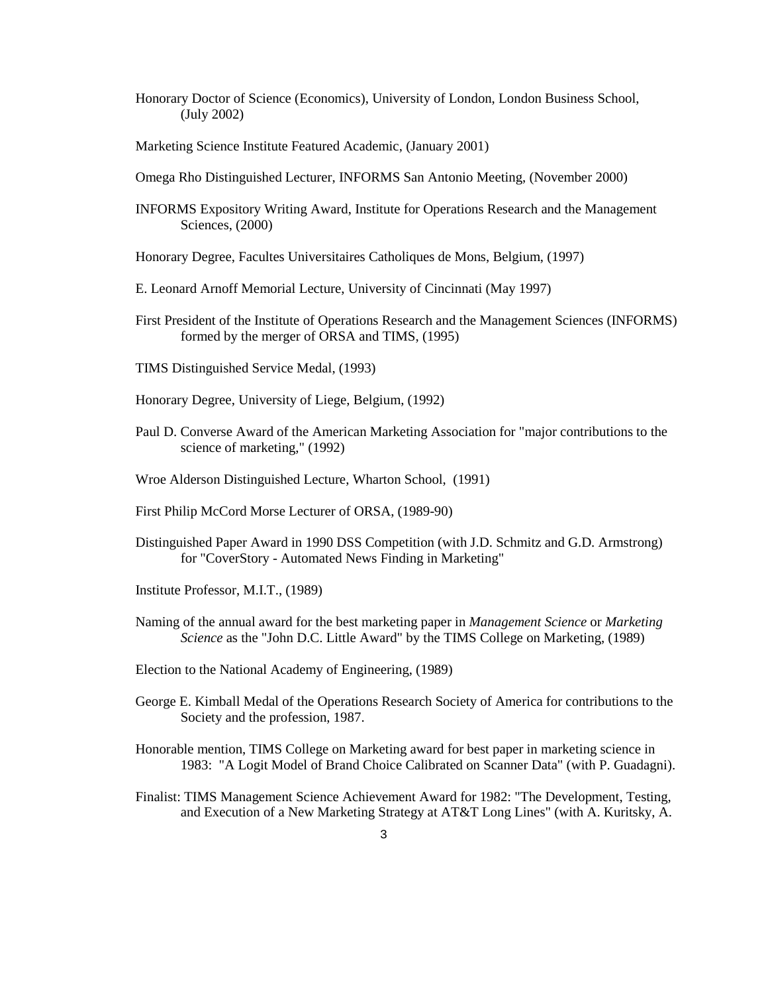- Honorary Doctor of Science (Economics), University of London, London Business School, (July 2002)
- Marketing Science Institute Featured Academic, (January 2001)
- Omega Rho Distinguished Lecturer, INFORMS San Antonio Meeting, (November 2000)
- INFORMS Expository Writing Award, Institute for Operations Research and the Management Sciences, (2000)
- Honorary Degree, Facultes Universitaires Catholiques de Mons, Belgium, (1997)
- E. Leonard Arnoff Memorial Lecture, University of Cincinnati (May 1997)
- First President of the Institute of Operations Research and the Management Sciences (INFORMS) formed by the merger of ORSA and TIMS, (1995)
- TIMS Distinguished Service Medal, (1993)
- Honorary Degree, University of Liege, Belgium, (1992)
- Paul D. Converse Award of the American Marketing Association for "major contributions to the science of marketing," (1992)
- Wroe Alderson Distinguished Lecture, Wharton School, (1991)
- First Philip McCord Morse Lecturer of ORSA, (1989-90)
- Distinguished Paper Award in 1990 DSS Competition (with J.D. Schmitz and G.D. Armstrong) for "CoverStory - Automated News Finding in Marketing"
- Institute Professor, M.I.T., (1989)
- Naming of the annual award for the best marketing paper in *Management Science* or *Marketing Science* as the "John D.C. Little Award" by the TIMS College on Marketing, (1989)
- Election to the National Academy of Engineering, (1989)
- George E. Kimball Medal of the Operations Research Society of America for contributions to the Society and the profession, 1987.
- Honorable mention, TIMS College on Marketing award for best paper in marketing science in 1983: "A Logit Model of Brand Choice Calibrated on Scanner Data" (with P. Guadagni).
- Finalist: TIMS Management Science Achievement Award for 1982: "The Development, Testing, and Execution of a New Marketing Strategy at AT&T Long Lines" (with A. Kuritsky, A.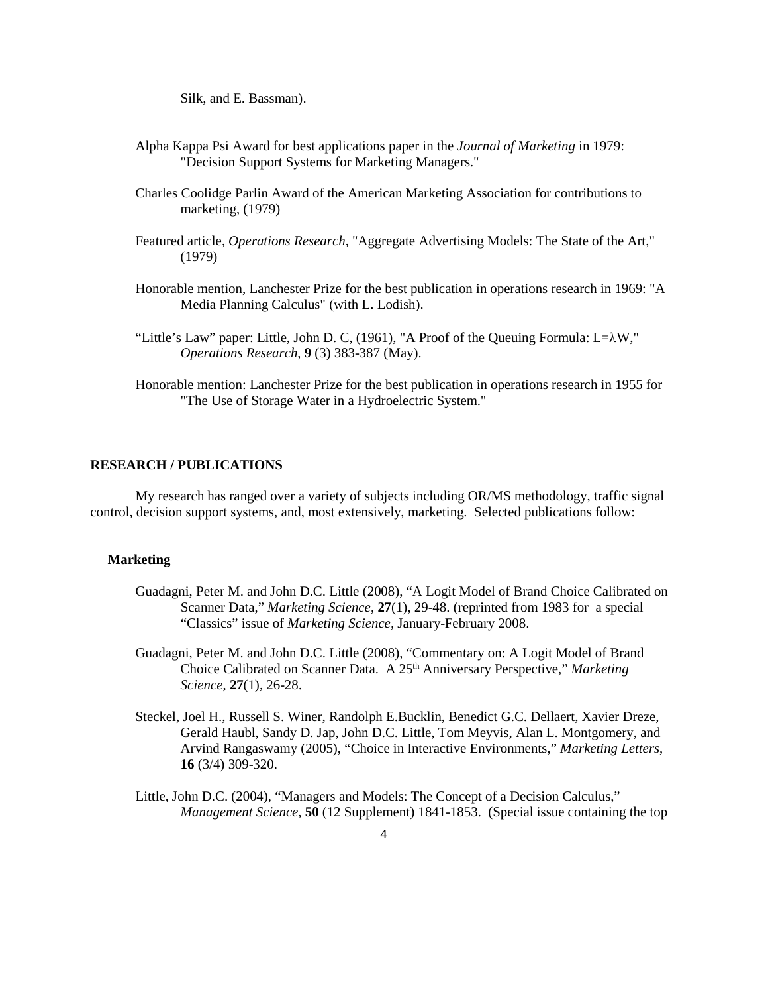Silk, and E. Bassman).

- Alpha Kappa Psi Award for best applications paper in the *Journal of Marketing* in 1979: "Decision Support Systems for Marketing Managers."
- Charles Coolidge Parlin Award of the American Marketing Association for contributions to marketing, (1979)
- Featured article, *Operations Research*, "Aggregate Advertising Models: The State of the Art," (1979)
- Honorable mention, Lanchester Prize for the best publication in operations research in 1969: "A Media Planning Calculus" (with L. Lodish).
- "Little's Law" paper: Little, John D. C, (1961), "A Proof of the Queuing Formula: L= $\lambda$ W," *Operations Research*, **9** (3) 383-387 (May).
- Honorable mention: Lanchester Prize for the best publication in operations research in 1955 for "The Use of Storage Water in a Hydroelectric System."

#### **RESEARCH / PUBLICATIONS**

My research has ranged over a variety of subjects including OR/MS methodology, traffic signal control, decision support systems, and, most extensively, marketing. Selected publications follow:

#### **Marketing**

- Guadagni, Peter M. and John D.C. Little (2008), "A Logit Model of Brand Choice Calibrated on Scanner Data," *Marketing Science*, **27**(1), 29-48. (reprinted from 1983 for a special "Classics" issue of *Marketing Science,* January-February 2008.
- Guadagni, Peter M. and John D.C. Little (2008), "Commentary on: A Logit Model of Brand Choice Calibrated on Scanner Data. A 25<sup>th</sup> Anniversary Perspective," Marketing *Science*, **27**(1), 26-28.
- Steckel, Joel H., Russell S. Winer, Randolph E.Bucklin, Benedict G.C. Dellaert, Xavier Dreze, Gerald Haubl, Sandy D. Jap, John D.C. Little, Tom Meyvis, Alan L. Montgomery, and Arvind Rangaswamy (2005), "Choice in Interactive Environments," *Marketing Letters*, **16** (3/4) 309-320.
- Little, John D.C. (2004), "Managers and Models: The Concept of a Decision Calculus," *Management Science,* **50** (12 Supplement) 1841-1853. (Special issue containing the top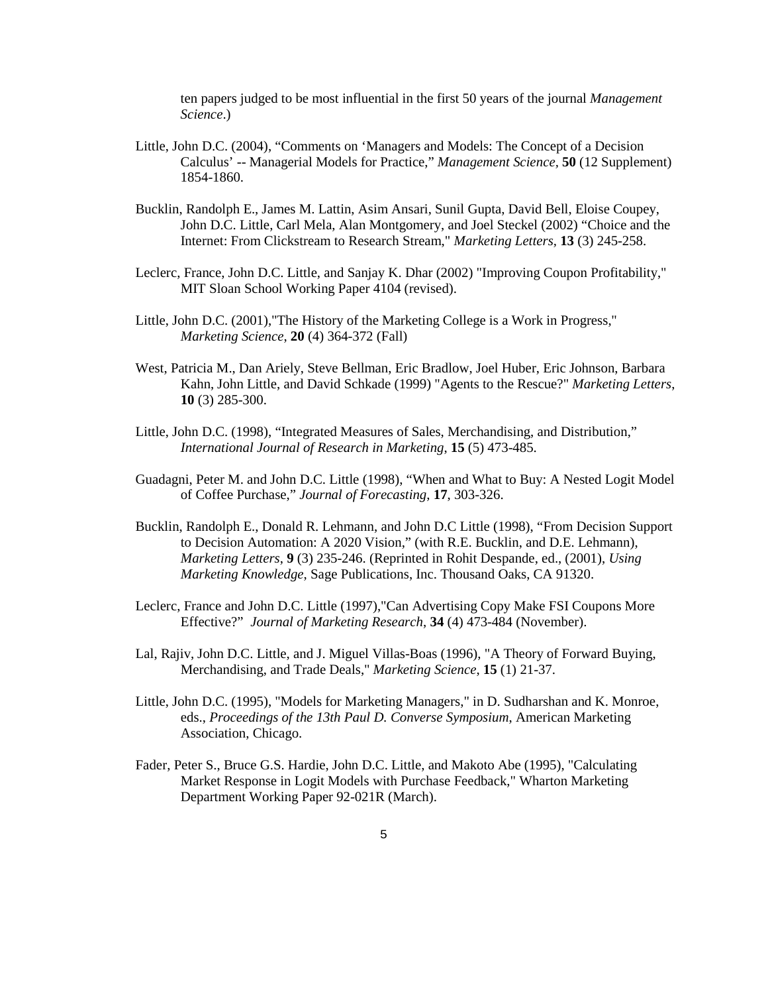ten papers judged to be most influential in the first 50 years of the journal *Management Science*.)

- Little, John D.C. (2004), "Comments on 'Managers and Models: The Concept of a Decision Calculus' -- Managerial Models for Practice," *Management Science,* **50** (12 Supplement) 1854-1860.
- Bucklin, Randolph E., James M. Lattin, Asim Ansari, Sunil Gupta, David Bell, Eloise Coupey, John D.C. Little, Carl Mela, Alan Montgomery, and Joel Steckel (2002) "Choice and the Internet: From Clickstream to Research Stream," *Marketing Letters,* **13** (3) 245-258.
- Leclerc, France, John D.C. Little, and Sanjay K. Dhar (2002) "Improving Coupon Profitability," MIT Sloan School Working Paper 4104 (revised).
- Little, John D.C. (2001),"The History of the Marketing College is a Work in Progress," *Marketing Science*, **20** (4) 364-372 (Fall)
- West, Patricia M., Dan Ariely, Steve Bellman, Eric Bradlow, Joel Huber, Eric Johnson, Barbara Kahn, John Little, and David Schkade (1999) "Agents to the Rescue?" *Marketing Letters*, **10** (3) 285-300.
- Little, John D.C. (1998), "Integrated Measures of Sales, Merchandising, and Distribution," *International Journal of Research in Marketing*, **15** (5) 473-485.
- Guadagni, Peter M. and John D.C. Little (1998), "When and What to Buy: A Nested Logit Model of Coffee Purchase," *Journal of Forecasting*, **17**, 303-326.
- Bucklin, Randolph E., Donald R. Lehmann, and John D.C Little (1998), "From Decision Support to Decision Automation: A 2020 Vision," (with R.E. Bucklin, and D.E. Lehmann), *Marketing Letters*, **9** (3) 235-246. (Reprinted in Rohit Despande, ed., (2001), *Using Marketing Knowledge*, Sage Publications, Inc. Thousand Oaks, CA 91320.
- Leclerc, France and John D.C. Little (1997),"Can Advertising Copy Make FSI Coupons More Effective?" *Journal of Marketing Research*, **34** (4) 473-484 (November).
- Lal, Rajiv, John D.C. Little, and J. Miguel Villas-Boas (1996), "A Theory of Forward Buying, Merchandising, and Trade Deals," *Marketing Science*, **15** (1) 21-37.
- Little, John D.C. (1995), "Models for Marketing Managers," in D. Sudharshan and K. Monroe, eds., *Proceedings of the 13th Paul D. Converse Symposium*, American Marketing Association, Chicago.
- Fader, Peter S., Bruce G.S. Hardie, John D.C. Little, and Makoto Abe (1995), "Calculating Market Response in Logit Models with Purchase Feedback," Wharton Marketing Department Working Paper 92-021R (March).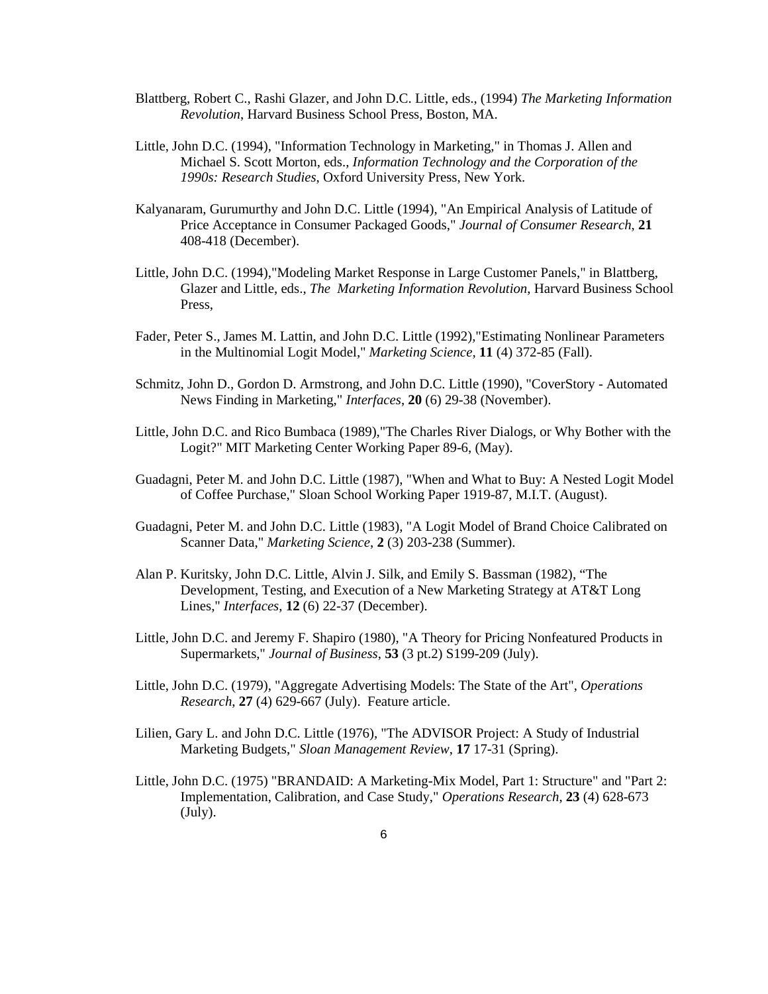- Blattberg, Robert C., Rashi Glazer, and John D.C. Little, eds., (1994) *The Marketing Information Revolution*, Harvard Business School Press, Boston, MA.
- Little, John D.C. (1994), "Information Technology in Marketing," in Thomas J. Allen and Michael S. Scott Morton, eds., *Information Technology and the Corporation of the 1990s: Research Studies*, Oxford University Press, New York.
- Kalyanaram, Gurumurthy and John D.C. Little (1994), "An Empirical Analysis of Latitude of Price Acceptance in Consumer Packaged Goods," *Journal of Consumer Research*, **21** 408-418 (December).
- Little, John D.C. (1994),"Modeling Market Response in Large Customer Panels," in Blattberg, Glazer and Little, eds., *The Marketing Information Revolution*, Harvard Business School Press,
- Fader, Peter S., James M. Lattin, and John D.C. Little (1992),"Estimating Nonlinear Parameters in the Multinomial Logit Model," *Marketing Science*, **11** (4) 372-85 (Fall).
- Schmitz, John D., Gordon D. Armstrong, and John D.C. Little (1990), "CoverStory Automated News Finding in Marketing," *Interfaces*, **20** (6) 29-38 (November).
- Little, John D.C. and Rico Bumbaca (1989),"The Charles River Dialogs, or Why Bother with the Logit?" MIT Marketing Center Working Paper 89-6, (May).
- Guadagni, Peter M. and John D.C. Little (1987), "When and What to Buy: A Nested Logit Model of Coffee Purchase," Sloan School Working Paper 1919-87, M.I.T. (August).
- Guadagni, Peter M. and John D.C. Little (1983), "A Logit Model of Brand Choice Calibrated on Scanner Data," *Marketing Science*, **2** (3) 203-238 (Summer).
- Alan P. Kuritsky, John D.C. Little, Alvin J. Silk, and Emily S. Bassman (1982), "The Development, Testing, and Execution of a New Marketing Strategy at AT&T Long Lines," *Interfaces*, **12** (6) 22-37 (December).
- Little, John D.C. and Jeremy F. Shapiro (1980), "A Theory for Pricing Nonfeatured Products in Supermarkets," *Journal of Business*, **53** (3 pt.2) S199-209 (July).
- Little, John D.C. (1979), "Aggregate Advertising Models: The State of the Art", *Operations Research*, **27** (4) 629-667 (July). Feature article.
- Lilien, Gary L. and John D.C. Little (1976), "The ADVISOR Project: A Study of Industrial Marketing Budgets," *Sloan Management Review*, **17** 17-31 (Spring).
- Little, John D.C. (1975) "BRANDAID: A Marketing-Mix Model, Part 1: Structure" and "Part 2: Implementation, Calibration, and Case Study," *Operations Research*, **23** (4) 628-673 (July).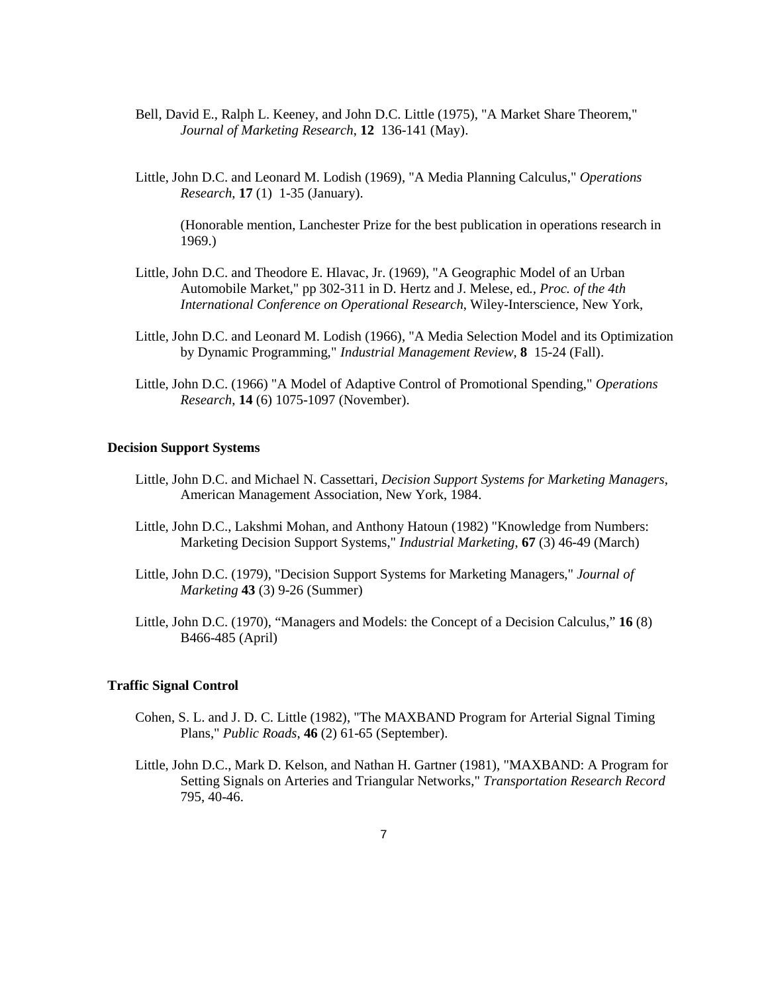- Bell, David E., Ralph L. Keeney, and John D.C. Little (1975), "A Market Share Theorem," *Journal of Marketing Research*, **12** 136-141 (May).
- Little, John D.C. and Leonard M. Lodish (1969), "A Media Planning Calculus," *Operations Research*, **17** (1) 1-35 (January).

(Honorable mention, Lanchester Prize for the best publication in operations research in 1969.)

- Little, John D.C. and Theodore E. Hlavac, Jr. (1969), "A Geographic Model of an Urban Automobile Market," pp 302-311 in D. Hertz and J. Melese, ed*., Proc. of the 4th International Conference on Operational Research*, Wiley-Interscience, New York,
- Little, John D.C. and Leonard M. Lodish (1966), "A Media Selection Model and its Optimization by Dynamic Programming," *Industrial Management Review*, **8** 15-24 (Fall).
- Little, John D.C. (1966) "A Model of Adaptive Control of Promotional Spending," *Operations Research*, **14** (6) 1075-1097 (November).

### **Decision Support Systems**

- Little, John D.C. and Michael N. Cassettari, *Decision Support Systems for Marketing Managers*, American Management Association, New York, 1984.
- Little, John D.C., Lakshmi Mohan, and Anthony Hatoun (1982) "Knowledge from Numbers: Marketing Decision Support Systems," *Industrial Marketing*, **67** (3) 46-49 (March)
- Little, John D.C. (1979), "Decision Support Systems for Marketing Managers," *Journal of Marketing* **43** (3) 9-26 (Summer)
- Little, John D.C. (1970), "Managers and Models: the Concept of a Decision Calculus," **16** (8) B466-485 (April)

#### **Traffic Signal Control**

- Cohen, S. L. and J. D. C. Little (1982), "The MAXBAND Program for Arterial Signal Timing Plans," *Public Roads*, **46** (2) 61-65 (September).
- Little, John D.C., Mark D. Kelson, and Nathan H. Gartner (1981), "MAXBAND: A Program for Setting Signals on Arteries and Triangular Networks," *Transportation Research Record*  795, 40-46.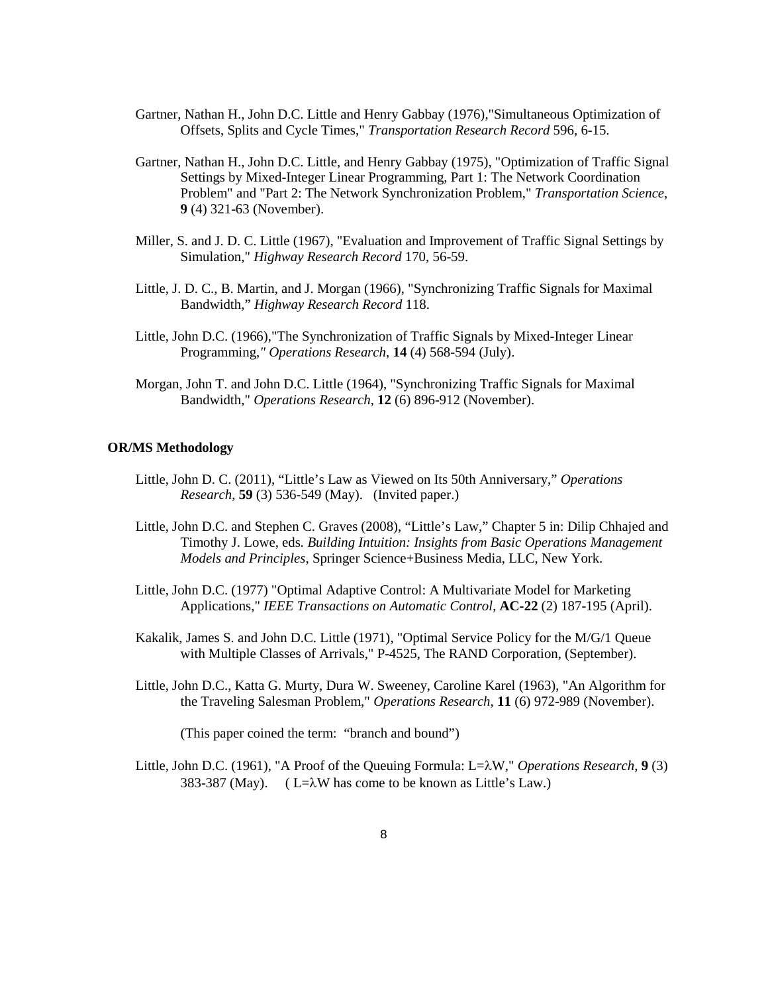- Gartner, Nathan H., John D.C. Little and Henry Gabbay (1976),"Simultaneous Optimization of Offsets, Splits and Cycle Times," *Transportation Research Record* 596, 6-15.
- Gartner, Nathan H., John D.C. Little, and Henry Gabbay (1975), "Optimization of Traffic Signal Settings by Mixed-Integer Linear Programming, Part 1: The Network Coordination Problem" and "Part 2: The Network Synchronization Problem," *Transportation Science*, **9** (4) 321-63 (November).
- Miller, S. and J. D. C. Little (1967), "Evaluation and Improvement of Traffic Signal Settings by Simulation," *Highway Research Record* 170, 56-59.
- Little, J. D. C., B. Martin, and J. Morgan (1966), "Synchronizing Traffic Signals for Maximal Bandwidth," *Highway Research Record* 118.
- Little, John D.C. (1966),"The Synchronization of Traffic Signals by Mixed-Integer Linear Programming,*" Operations Research*, **14** (4) 568-594 (July).
- Morgan, John T. and John D.C. Little (1964), "Synchronizing Traffic Signals for Maximal Bandwidth," *Operations Research*, **12** (6) 896-912 (November).

#### **OR/MS Methodology**

- Little, John D. C. (2011), "Little's Law as Viewed on Its 50th Anniversary," *Operations Research*, **59** (3) 536-549 (May). (Invited paper.)
- Little, John D.C. and Stephen C. Graves (2008), "Little's Law," Chapter 5 in: Dilip Chhajed and Timothy J. Lowe, eds*. Building Intuition: Insights from Basic Operations Management Models and Principles*, Springer Science+Business Media, LLC, New York.
- Little, John D.C. (1977) "Optimal Adaptive Control: A Multivariate Model for Marketing Applications," *IEEE Transactions on Automatic Control*, **AC-22** (2) 187-195 (April).
- Kakalik, James S. and John D.C. Little (1971), "Optimal Service Policy for the M/G/1 Queue with Multiple Classes of Arrivals," P-4525, The RAND Corporation, (September).
- Little, John D.C., Katta G. Murty, Dura W. Sweeney, Caroline Karel (1963), "An Algorithm for the Traveling Salesman Problem," *Operations Research*, **11** (6) 972-989 (November).

(This paper coined the term: "branch and bound")

Little, John D.C. (1961), "A Proof of the Queuing Formula: L=λW," *Operations Research*, **9** (3) 383-387 (May). (  $L=\lambda W$  has come to be known as Little's Law.)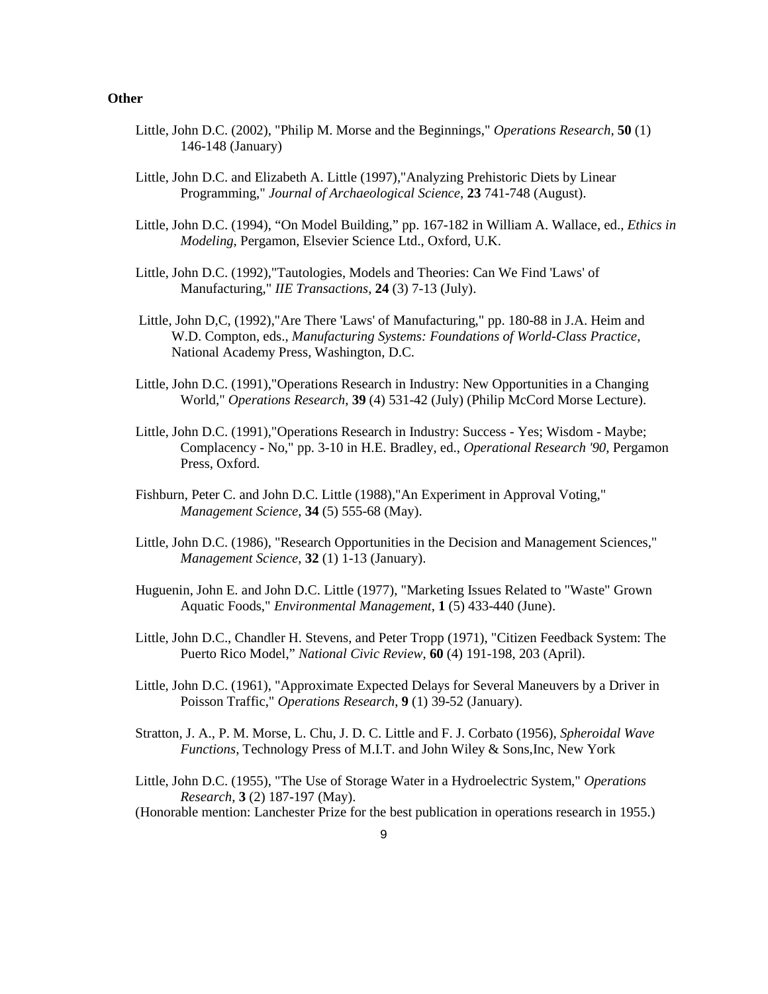#### **Other**

- Little, John D.C. (2002), "Philip M. Morse and the Beginnings," *Operations Research,* **50** (1) 146-148 (January)
- Little, John D.C. and Elizabeth A. Little (1997),"Analyzing Prehistoric Diets by Linear Programming," *Journal of Archaeological Science*, **23** 741-748 (August).
- Little, John D.C. (1994), "On Model Building," pp. 167-182 in William A. Wallace, ed., *Ethics in Modeling*, Pergamon, Elsevier Science Ltd., Oxford, U.K.
- Little, John D.C. (1992),"Tautologies, Models and Theories: Can We Find 'Laws' of Manufacturing," *IIE Transactions*, **24** (3) 7-13 (July).
- Little, John D,C, (1992),"Are There 'Laws' of Manufacturing," pp. 180-88 in J.A. Heim and W.D. Compton, eds., *Manufacturing Systems: Foundations of World-Class Practice*, National Academy Press, Washington, D.C.
- Little, John D.C. (1991),"Operations Research in Industry: New Opportunities in a Changing World," *Operations Research*, **39** (4) 531-42 (July) (Philip McCord Morse Lecture).
- Little, John D.C. (1991),"Operations Research in Industry: Success Yes; Wisdom Maybe; Complacency - No," pp. 3-10 in H.E. Bradley, ed., *Operational Research '90*, Pergamon Press, Oxford.
- Fishburn, Peter C. and John D.C. Little (1988),"An Experiment in Approval Voting," *Management Science*, **34** (5) 555-68 (May).
- Little, John D.C. (1986), "Research Opportunities in the Decision and Management Sciences," *Management Science*, **32** (1) 1-13 (January).
- Huguenin, John E. and John D.C. Little (1977), "Marketing Issues Related to "Waste" Grown Aquatic Foods," *Environmental Management*, **1** (5) 433-440 (June).
- Little, John D.C., Chandler H. Stevens, and Peter Tropp (1971), "Citizen Feedback System: The Puerto Rico Model," *National Civic Review*, **60** (4) 191-198, 203 (April).
- Little, John D.C. (1961), "Approximate Expected Delays for Several Maneuvers by a Driver in Poisson Traffic," *Operations Research*, **9** (1) 39-52 (January).
- Stratton, J. A., P. M. Morse, L. Chu, J. D. C. Little and F. J. Corbato (1956), *Spheroidal Wave Functions,* Technology Press of M.I.T. and John Wiley & Sons,Inc, New York
- Little, John D.C. (1955), "The Use of Storage Water in a Hydroelectric System," *Operations Research*, **3** (2) 187-197 (May).

(Honorable mention: Lanchester Prize for the best publication in operations research in 1955.)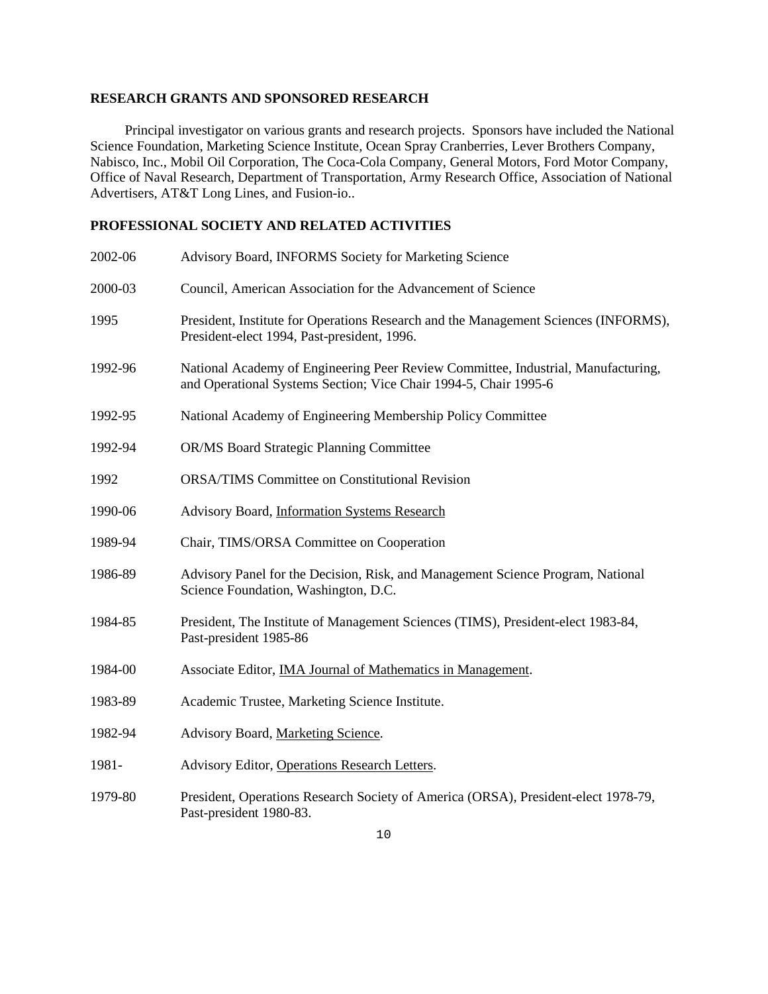## **RESEARCH GRANTS AND SPONSORED RESEARCH**

 Principal investigator on various grants and research projects. Sponsors have included the National Science Foundation, Marketing Science Institute, Ocean Spray Cranberries, Lever Brothers Company, Nabisco, Inc., Mobil Oil Corporation, The Coca-Cola Company, General Motors, Ford Motor Company, Office of Naval Research, Department of Transportation, Army Research Office, Association of National Advertisers, AT&T Long Lines, and Fusion-io..

## **PROFESSIONAL SOCIETY AND RELATED ACTIVITIES**

| 2002-06 | Advisory Board, INFORMS Society for Marketing Science                                                                                                 |
|---------|-------------------------------------------------------------------------------------------------------------------------------------------------------|
| 2000-03 | Council, American Association for the Advancement of Science                                                                                          |
| 1995    | President, Institute for Operations Research and the Management Sciences (INFORMS),<br>President-elect 1994, Past-president, 1996.                    |
| 1992-96 | National Academy of Engineering Peer Review Committee, Industrial, Manufacturing,<br>and Operational Systems Section; Vice Chair 1994-5, Chair 1995-6 |
| 1992-95 | National Academy of Engineering Membership Policy Committee                                                                                           |
| 1992-94 | <b>OR/MS Board Strategic Planning Committee</b>                                                                                                       |
| 1992    | <b>ORSA/TIMS Committee on Constitutional Revision</b>                                                                                                 |
| 1990-06 | Advisory Board, Information Systems Research                                                                                                          |
| 1989-94 | Chair, TIMS/ORSA Committee on Cooperation                                                                                                             |
| 1986-89 | Advisory Panel for the Decision, Risk, and Management Science Program, National<br>Science Foundation, Washington, D.C.                               |
| 1984-85 | President, The Institute of Management Sciences (TIMS), President-elect 1983-84,<br>Past-president 1985-86                                            |
| 1984-00 | Associate Editor, IMA Journal of Mathematics in Management.                                                                                           |
| 1983-89 | Academic Trustee, Marketing Science Institute.                                                                                                        |
| 1982-94 | Advisory Board, Marketing Science.                                                                                                                    |
| 1981-   | Advisory Editor, Operations Research Letters.                                                                                                         |
| 1979-80 | President, Operations Research Society of America (ORSA), President-elect 1978-79,<br>Past-president 1980-83.                                         |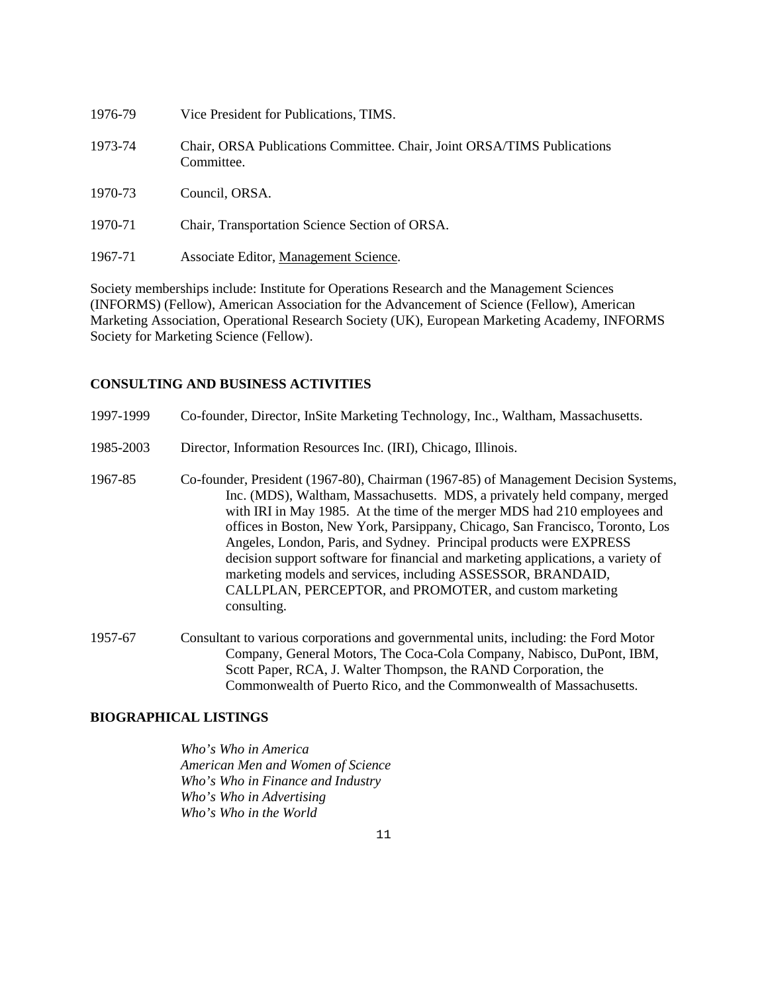| 1976-79 | Vice President for Publications, TIMS.                                                |
|---------|---------------------------------------------------------------------------------------|
| 1973-74 | Chair, ORSA Publications Committee. Chair, Joint ORSA/TIMS Publications<br>Committee. |
| 1970-73 | Council, ORSA.                                                                        |
| 1970-71 | Chair, Transportation Science Section of ORSA.                                        |
| 1967-71 | Associate Editor, Management Science.                                                 |

Society memberships include: Institute for Operations Research and the Management Sciences (INFORMS) (Fellow), American Association for the Advancement of Science (Fellow), American Marketing Association, Operational Research Society (UK), European Marketing Academy, INFORMS Society for Marketing Science (Fellow).

### **CONSULTING AND BUSINESS ACTIVITIES**

| 1997-1999 | Co-founder, Director, InSite Marketing Technology, Inc., Waltham, Massachusetts.                                                                                                                                                                                                                                                                                                                                                                                                                                                                                                                                                    |
|-----------|-------------------------------------------------------------------------------------------------------------------------------------------------------------------------------------------------------------------------------------------------------------------------------------------------------------------------------------------------------------------------------------------------------------------------------------------------------------------------------------------------------------------------------------------------------------------------------------------------------------------------------------|
| 1985-2003 | Director, Information Resources Inc. (IRI), Chicago, Illinois.                                                                                                                                                                                                                                                                                                                                                                                                                                                                                                                                                                      |
| 1967-85   | Co-founder, President (1967-80), Chairman (1967-85) of Management Decision Systems,<br>Inc. (MDS), Waltham, Massachusetts. MDS, a privately held company, merged<br>with IRI in May 1985. At the time of the merger MDS had 210 employees and<br>offices in Boston, New York, Parsippany, Chicago, San Francisco, Toronto, Los<br>Angeles, London, Paris, and Sydney. Principal products were EXPRESS<br>decision support software for financial and marketing applications, a variety of<br>marketing models and services, including ASSESSOR, BRANDAID,<br>CALLPLAN, PERCEPTOR, and PROMOTER, and custom marketing<br>consulting. |

1957-67 Consultant to various corporations and governmental units, including: the Ford Motor Company, General Motors, The Coca-Cola Company, Nabisco, DuPont, IBM, Scott Paper, RCA, J. Walter Thompson, the RAND Corporation, the Commonwealth of Puerto Rico, and the Commonwealth of Massachusetts.

## **BIOGRAPHICAL LISTINGS**

*Who's Who in America American Men and Women of Science Who's Who in Finance and Industry Who's Who in Advertising Who's Who in the World*